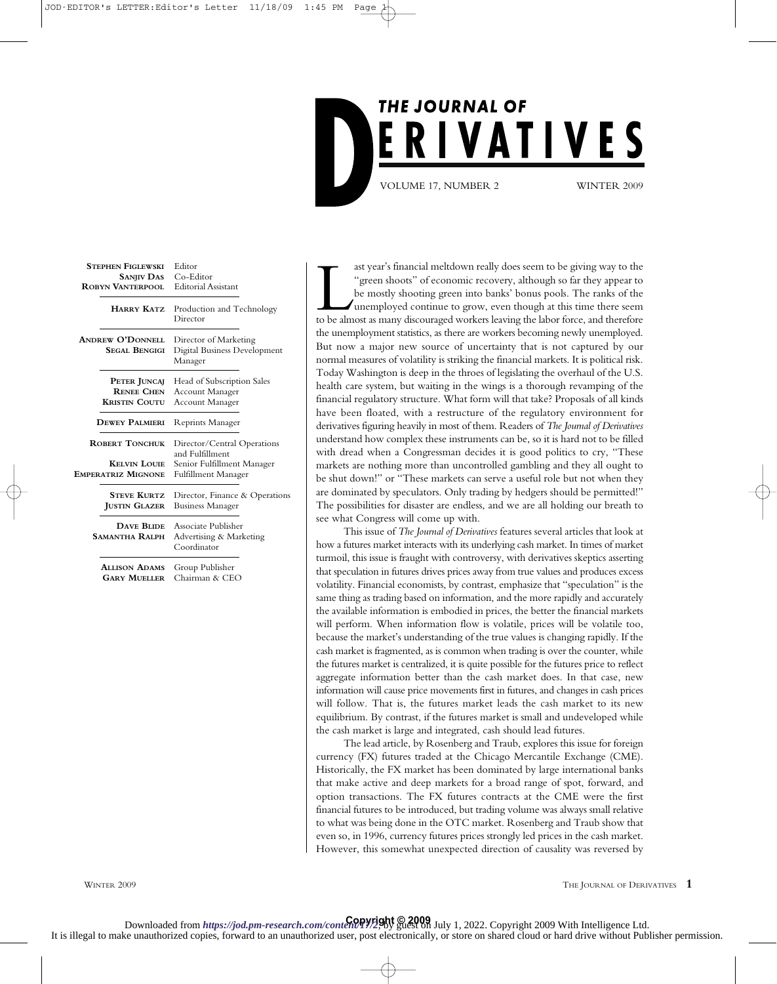

| <b>STEPHEN FIGLEWSKI</b><br><b>SANJIV DAS</b><br><b>ROBYN VANTERPOOL</b> | Editor<br>Co-Editor<br><b>Editorial Assistant</b>                |
|--------------------------------------------------------------------------|------------------------------------------------------------------|
| <b>HARRY KATZ</b>                                                        | Production and Technology<br>Director                            |
| <b>ANDREW O'DONNELL</b><br><b>SEGAL BENGIGI</b>                          | Director of Marketing<br>Digital Business Development<br>Manager |
| PETER JUNCAJ<br><b>RENEE CHEN</b><br><b>KRISTIN COUTU</b>                | Head of Subscription Sales<br>Account Manager<br>Account Manager |
| <b>DEWEY PALMIERI</b>                                                    | <b>Reprints Manager</b>                                          |
| <b>ROBERT TONCHUK</b>                                                    | Director/Central Operations<br>and Fulfillment                   |
| <b>KELVIN LOUIE</b><br><b>EMPERATRIZ MIGNONE</b>                         | Senior Fulfillment Manager<br>Fulfillment Manager                |
| <b>STEVE KURTZ</b><br><b>JUSTIN GLAZER</b>                               | Director, Finance & Operations<br><b>Business Manager</b>        |
| <b>DAVE BLIDE</b><br><b>SAMANTHA RALPH</b>                               | Associate Publisher<br>Advertising & Marketing<br>Coordinator    |
| <b>ALLISON ADAMS</b><br><b>GARY MUELLER</b>                              | Group Publisher<br>Chairman & CEO                                |

ast year's financial meltdown really does seem to be giving way to the<br>"green shoots" of economic recovery, although so far they appear to<br>be mostly shooting green into banks' bonus pools. The ranks of the<br>unemployed conti ast year's financial meltdown really does seem to be giving way to the "green shoots" of economic recovery, although so far they appear to be mostly shooting green into banks' bonus pools. The ranks of the unemployed continue to grow, even though at this time there seem the unemployment statistics, as there are workers becoming newly unemployed. But now a major new source of uncertainty that is not captured by our normal measures of volatility is striking the financial markets. It is political risk. Today Washington is deep in the throes of legislating the overhaul of the U.S. health care system, but waiting in the wings is a thorough revamping of the financial regulatory structure. What form will that take? Proposals of all kinds have been floated, with a restructure of the regulatory environment for derivatives figuring heavily in most of them. Readers of *The Journal of Derivatives* understand how complex these instruments can be, so it is hard not to be filled with dread when a Congressman decides it is good politics to cry, "These markets are nothing more than uncontrolled gambling and they all ought to be shut down!" or "These markets can serve a useful role but not when they are dominated by speculators. Only trading by hedgers should be permitted!" The possibilities for disaster are endless, and we are all holding our breath to see what Congress will come up with.

This issue of *The Journal of Derivatives* features several articles that look at how a futures market interacts with its underlying cash market. In times of market turmoil, this issue is fraught with controversy, with derivatives skeptics asserting that speculation in futures drives prices away from true values and produces excess volatility. Financial economists, by contrast, emphasize that "speculation" is the same thing as trading based on information, and the more rapidly and accurately the available information is embodied in prices, the better the financial markets will perform. When information flow is volatile, prices will be volatile too, because the market's understanding of the true values is changing rapidly. If the cash market is fragmented, as is common when trading is over the counter, while the futures market is centralized, it is quite possible for the futures price to reflect aggregate information better than the cash market does. In that case, new information will cause price movements first in futures, and changes in cash prices will follow. That is, the futures market leads the cash market to its new equilibrium. By contrast, if the futures market is small and undeveloped while the cash market is large and integrated, cash should lead futures.

The lead article, by Rosenberg and Traub, explores this issue for foreign currency (FX) futures traded at the Chicago Mercantile Exchange (CME). Historically, the FX market has been dominated by large international banks that make active and deep markets for a broad range of spot, forward, and option transactions. The FX futures contracts at the CME were the first financial futures to be introduced, but trading volume was always small relative to what was being done in the OTC market. Rosenberg and Traub show that even so, in 1996, currency futures prices strongly led prices in the cash market. However, this somewhat unexpected direction of causality was reversed by

**Copyright © 2009** Downloaded from *https://jod.pm-research.com/content/17/2*, by guest on July 1, 2022. Copyright 2009 With Intelligence Ltd. It is illegal to make unauthorized copies, forward to an unauthorized user, post electronically, or store on shared cloud or hard drive without Publisher permission.